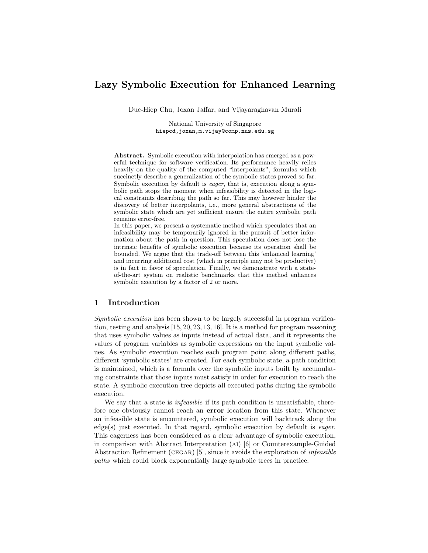# Lazy Symbolic Execution for Enhanced Learning

Duc-Hiep Chu, Joxan Jaffar, and Vijayaraghavan Murali

National University of Singapore hiepcd,joxan,m.vijay@comp.nus.edu.sg

Abstract. Symbolic execution with interpolation has emerged as a powerful technique for software verification. Its performance heavily relies heavily on the quality of the computed "interpolants", formulas which succinctly describe a generalization of the symbolic states proved so far. Symbolic execution by default is eager, that is, execution along a symbolic path stops the moment when infeasibility is detected in the logical constraints describing the path so far. This may however hinder the discovery of better interpolants, i.e., more general abstractions of the symbolic state which are yet sufficient ensure the entire symbolic path remains error-free.

In this paper, we present a systematic method which speculates that an infeasibility may be temporarily ignored in the pursuit of better information about the path in question. This speculation does not lose the intrinsic benefits of symbolic execution because its operation shall be bounded. We argue that the trade-off between this 'enhanced learning' and incurring additional cost (which in principle may not be productive) is in fact in favor of speculation. Finally, we demonstrate with a stateof-the-art system on realistic benchmarks that this method enhances symbolic execution by a factor of 2 or more.

#### 1 Introduction

Symbolic execution has been shown to be largely successful in program verification, testing and analysis [15, 20, 23, 13, 16]. It is a method for program reasoning that uses symbolic values as inputs instead of actual data, and it represents the values of program variables as symbolic expressions on the input symbolic values. As symbolic execution reaches each program point along different paths, different 'symbolic states' are created. For each symbolic state, a path condition is maintained, which is a formula over the symbolic inputs built by accumulating constraints that those inputs must satisfy in order for execution to reach the state. A symbolic execution tree depicts all executed paths during the symbolic execution.

We say that a state is *infeasible* if its path condition is unsatisfiable, therefore one obviously cannot reach an error location from this state. Whenever an infeasible state is encountered, symbolic execution will backtrack along the  $edge(s)$  just executed. In that regard, symbolic execution by default is *eager*. This eagerness has been considered as a clear advantage of symbolic execution, in comparison with Abstract Interpretation (ai) [6] or Counterexample-Guided Abstraction Refinement (CEGAR) [5], since it avoids the exploration of *infeasible* paths which could block exponentially large symbolic trees in practice.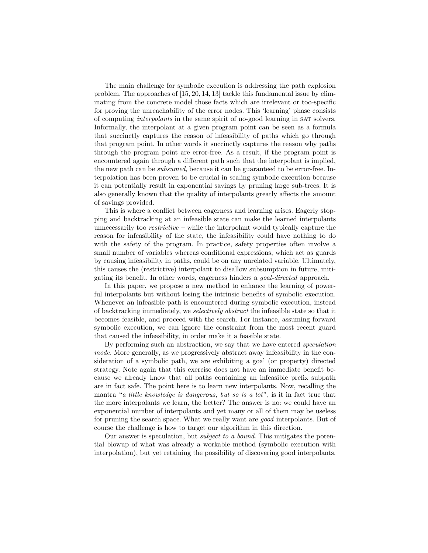The main challenge for symbolic execution is addressing the path explosion problem. The approaches of [15, 20, 14, 13] tackle this fundamental issue by eliminating from the concrete model those facts which are irrelevant or too-specific for proving the unreachability of the error nodes. This 'learning' phase consists of computing *interpolants* in the same spirit of no-good learning in SAT solvers. Informally, the interpolant at a given program point can be seen as a formula that succinctly captures the reason of infeasibility of paths which go through that program point. In other words it succinctly captures the reason why paths through the program point are error-free. As a result, if the program point is encountered again through a different path such that the interpolant is implied, the new path can be subsumed, because it can be guaranteed to be error-free. Interpolation has been proven to be crucial in scaling symbolic execution because it can potentially result in exponential savings by pruning large sub-trees. It is also generally known that the quality of interpolants greatly affects the amount of savings provided.

This is where a conflict between eagerness and learning arises. Eagerly stopping and backtracking at an infeasible state can make the learned interpolants unnecessarily too *restrictive –* while the interpolant would typically capture the reason for infeasibility of the state, the infeasibility could have nothing to do with the safety of the program. In practice, safety properties often involve a small number of variables whereas conditional expressions, which act as guards by causing infeasibility in paths, could be on any unrelated variable. Ultimately, this causes the (restrictive) interpolant to disallow subsumption in future, mitigating its benefit. In other words, eagerness hinders a goal-directed approach.

In this paper, we propose a new method to enhance the learning of powerful interpolants but without losing the intrinsic benefits of symbolic execution. Whenever an infeasible path is encountered during symbolic execution, instead of backtracking immediately, we selectively abstract the infeasible state so that it becomes feasible, and proceed with the search. For instance, assuming forward symbolic execution, we can ignore the constraint from the most recent guard that caused the infeasibility, in order make it a feasible state.

By performing such an abstraction, we say that we have entered speculation mode. More generally, as we progressively abstract away infeasibility in the consideration of a symbolic path, we are exhibiting a goal (or property) directed strategy. Note again that this exercise does not have an immediate benefit because we already know that all paths containing an infeasible prefix subpath are in fact safe. The point here is to learn new interpolants. Now, recalling the mantra "a little knowledge is dangerous, but so is a lot", is it in fact true that the more interpolants we learn, the better? The answer is no: we could have an exponential number of interpolants and yet many or all of them may be useless for pruning the search space. What we really want are good interpolants. But of course the challenge is how to target our algorithm in this direction.

Our answer is speculation, but subject to a bound. This mitigates the potential blowup of what was already a workable method (symbolic execution with interpolation), but yet retaining the possibility of discovering good interpolants.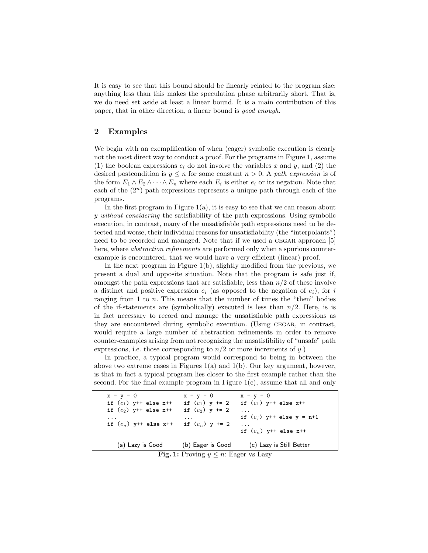It is easy to see that this bound should be linearly related to the program size: anything less than this makes the speculation phase arbitrarily short. That is, we do need set aside at least a linear bound. It is a main contribution of this paper, that in other direction, a linear bound is good enough.

## 2 Examples

We begin with an exemplification of when (eager) symbolic execution is clearly not the most direct way to conduct a proof. For the programs in Figure 1, assume (1) the boolean expressions  $e_i$  do not involve the variables x and y, and (2) the desired postcondition is  $y \leq n$  for some constant  $n > 0$ . A path expression is of the form  $E_1 \wedge E_2 \wedge \cdots \wedge E_n$  where each  $E_i$  is either  $e_i$  or its negation. Note that each of the  $(2^n)$  path expressions represents a unique path through each of the programs.

In the first program in Figure  $1(a)$ , it is easy to see that we can reason about y without considering the satisfiability of the path expressions. Using symbolic execution, in contrast, many of the unsatisfiable path expressions need to be detected and worse, their individual reasons for unsatisfiability (the "interpolants") need to be recorded and managed. Note that if we used a CEGAR approach [5] here, where *abstraction refinements* are performed only when a spurious counterexample is encountered, that we would have a very efficient (linear) proof.

In the next program in Figure 1(b), slightly modified from the previous, we present a dual and opposite situation. Note that the program is safe just if, amongst the path expressions that are satisfiable, less than  $n/2$  of these involve a distinct and positive expression  $e_i$  (as opposed to the negation of  $e_i$ ), for i ranging from 1 to n. This means that the number of times the "then" bodies of the if-statements are (symbolically) executed is less than  $n/2$ . Here, is is in fact necessary to record and manage the unsatisfiable path expressions as they are encountered during symbolic execution. (Using cegar, in contrast, would require a large number of abstraction refinements in order to remove counter-examples arising from not recognizing the unsatisfibility of "unsafe" path expressions, i.e. those corresponding to  $n/2$  or more increments of y.)

In practice, a typical program would correspond to being in between the above two extreme cases in Figures  $1(a)$  and  $1(b)$ . Our key argument, however, is that in fact a typical program lies closer to the first example rather than the second. For the final example program in Figure  $1(c)$ , assume that all and only

| $x = y = 0$<br>if $(e_1)$ y++ else x++<br>if $(e_2)$ y++ else x++<br>$\cdots$<br>if $(e_n)$ y++ else x++ | $x = y = 0$<br>if $(e_1)$ y += 2<br>if $(e_2)$ y += 2<br>$\cdots$<br>if $(e_n)$ y += 2 | $x = y = 0$<br>if $(e_1)$ y++ else x++<br>$\cdots$<br>if $(e_i)$ y++ else y = n+1<br>$\cdots$<br>if $(e_n)$ y++ else x++ |  |  |  |  |  |
|----------------------------------------------------------------------------------------------------------|----------------------------------------------------------------------------------------|--------------------------------------------------------------------------------------------------------------------------|--|--|--|--|--|
| (a) Lazy is Good                                                                                         | (b) Eager is Good                                                                      | (c) Lazy is Still Better                                                                                                 |  |  |  |  |  |
| $\lim_{n \to \infty} 1$ Proving $u \leq n$ . Esger vs Lazy                                               |                                                                                        |                                                                                                                          |  |  |  |  |  |

**Fig. 1:** Proving  $y \leq n$ : Eager vs Lazy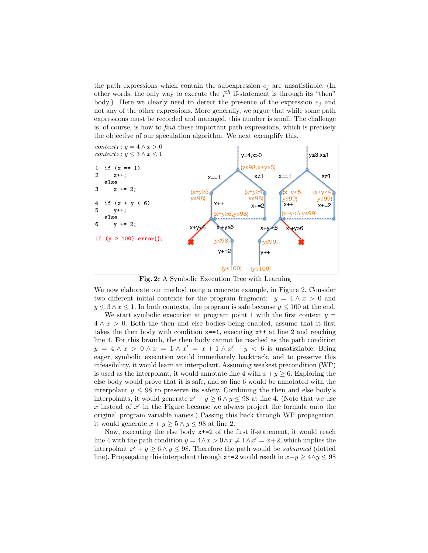the path expressions which contain the subexpression  $e_i$  are unsatisfiable. (In other words, the only way to execute the  $j<sup>th</sup>$  if-statement is through its "then" body.) Here we clearly need to detect the presence of the expression  $e_j$  and not any of the other expressions. More generally, we argue that while some path expressions must be recorded and managed, this number is small. The challenge is, of course, is how to find these important path expressions, which is precisely the objective of our speculation algorithm. We next exemplify this.



Fig. 2: A Symbolic Execution Tree with Learning

We now elaborate our method using a concrete example, in Figure 2. Consider two different initial contexts for the program fragment:  $y = 4 \land x > 0$  and  $y \leq 3 \land x \leq 1$ . In both contexts, the program is safe because  $y \leq 100$  at the end.

We start symbolic execution at program point 1 with the first context  $y =$  $4 \wedge x > 0$ . Both the then and else bodies being enabled, assume that it first takes the then body with condition  $x=1$ , executing  $x++$  at line 2 and reaching line 4. For this branch, the then body cannot be reached as the path condition  $y = 4 \wedge x > 0 \wedge x = 1 \wedge x' = x + 1 \wedge x' + y < 6$  is unsatisfiable. Being eager, symbolic execution would immediately backtrack, and to preserve this infeasibility, it would learn an interpolant. Assuming weakest precondition (WP) is used as the interpolant, it would annotate line 4 with  $x+y \geq 6$ . Exploring the else body would prove that it is safe, and so line 6 would be annotated with the interpolant  $y \leq 98$  to preserve its safety. Combining the then and else body's interpolants, it would generate  $x' + y \ge 6 \land y \le 98$  at line 4. (Note that we use x instead of  $x'$  in the Figure because we always project the formula onto the original program variable names.) Passing this back through WP propagation, it would generate  $x + y \ge 5 \land y \le 98$  at line 2.

Now, executing the else body  $x+=2$  of the first if-statement, it would reach line 4 with the path condition  $y = 4 \land x > 0 \land x \neq 1 \land x' = x + 2$ , which implies the interpolant  $x' + y \ge 6 \land y \le 98$ . Therefore the path would be subsumed (dotted line). Propagating this interpolant through  $x+=2$  would result in  $x+y \ge 4 \land y \le 98$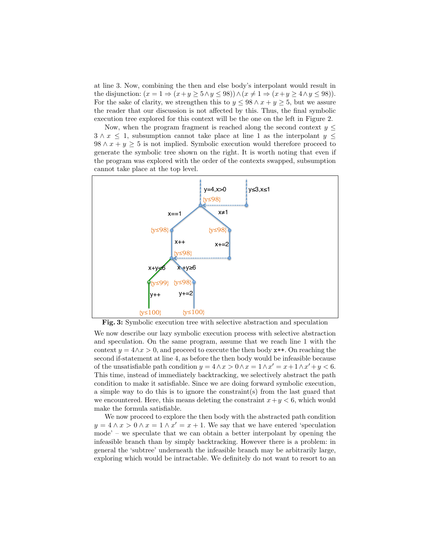at line 3. Now, combining the then and else body's interpolant would result in the disjunction:  $(x = 1 \Rightarrow (x+y \ge 5 \land y \le 98)) \land (x \ne 1 \Rightarrow (x+y \ge 4 \land y \le 98)).$ For the sake of clarity, we strengthen this to  $y \le 98 \land x + y \ge 5$ , but we assure the reader that our discussion is not affected by this. Thus, the final symbolic execution tree explored for this context will be the one on the left in Figure 2.

Now, when the program fragment is reached along the second context  $y \leq$  $3 \wedge x \leq 1$ , subsumption cannot take place at line 1 as the interpolant  $y \leq$  $98 \wedge x + y \geq 5$  is not implied. Symbolic execution would therefore proceed to generate the symbolic tree shown on the right. It is worth noting that even if the program was explored with the order of the contexts swapped, subsumption cannot take place at the top level.



Fig. 3: Symbolic execution tree with selective abstraction and speculation

We now describe our lazy symbolic execution process with selective abstraction and speculation. On the same program, assume that we reach line 1 with the context  $y = 4 \land x > 0$ , and proceed to execute the then body x++. On reaching the second if-statement at line 4, as before the then body would be infeasible because of the unsatisfiable path condition  $y = 4 \land x > 0 \land x = 1 \land x' = x + 1 \land x' + y < 6$ . This time, instead of immediately backtracking, we selectively abstract the path condition to make it satisfiable. Since we are doing forward symbolic execution, a simple way to do this is to ignore the constraint(s) from the last guard that we encountered. Here, this means deleting the constraint  $x+y<6$ , which would make the formula satisfiable.

We now proceed to explore the then body with the abstracted path condition  $y = 4 \wedge x > 0 \wedge x = 1 \wedge x' = x + 1$ . We say that we have entered 'speculation mode' – we speculate that we can obtain a better interpolant by opening the infeasible branch than by simply backtracking. However there is a problem: in general the 'subtree' underneath the infeasible branch may be arbitrarily large, exploring which would be intractable. We definitely do not want to resort to an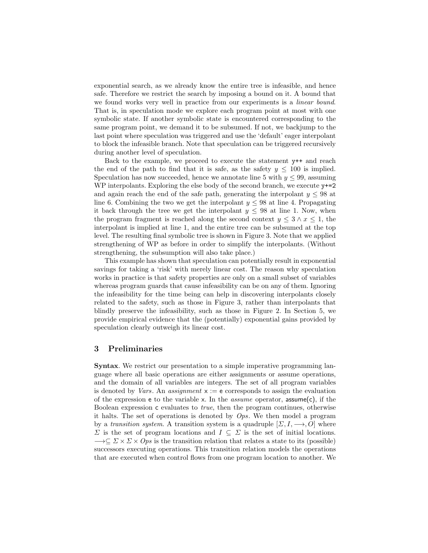exponential search, as we already know the entire tree is infeasible, and hence safe. Therefore we restrict the search by imposing a bound on it. A bound that we found works very well in practice from our experiments is a *linear bound*. That is, in speculation mode we explore each program point at most with one symbolic state. If another symbolic state is encountered corresponding to the same program point, we demand it to be subsumed. If not, we backjump to the last point where speculation was triggered and use the 'default' eager interpolant to block the infeasible branch. Note that speculation can be triggered recursively during another level of speculation.

Back to the example, we proceed to execute the statement y++ and reach the end of the path to find that it is safe, as the safety  $y \leq 100$  is implied. Speculation has now succeeded, hence we annotate line 5 with  $y \leq 99$ , assuming WP interpolants. Exploring the else body of the second branch, we execute  $y=2$ and again reach the end of the safe path, generating the interpolant  $y \leq 98$  at line 6. Combining the two we get the interpolant  $y \leq 98$  at line 4. Propagating it back through the tree we get the interpolant  $y \leq 98$  at line 1. Now, when the program fragment is reached along the second context  $y \leq 3 \land x \leq 1$ , the interpolant is implied at line 1, and the entire tree can be subsumed at the top level. The resulting final symbolic tree is shown in Figure 3. Note that we applied strengthening of WP as before in order to simplify the interpolants. (Without strengthening, the subsumption will also take place.)

This example has shown that speculation can potentially result in exponential savings for taking a 'risk' with merely linear cost. The reason why speculation works in practice is that safety properties are only on a small subset of variables whereas program guards that cause infeasibility can be on any of them. Ignoring the infeasibility for the time being can help in discovering interpolants closely related to the safety, such as those in Figure 3, rather than interpolants that blindly preserve the infeasibility, such as those in Figure 2. In Section 5, we provide empirical evidence that the (potentially) exponential gains provided by speculation clearly outweigh its linear cost.

## 3 Preliminaries

Syntax. We restrict our presentation to a simple imperative programming language where all basic operations are either assignments or assume operations, and the domain of all variables are integers. The set of all program variables is denoted by *Vars*. An *assignment*  $x := e$  corresponds to assign the evaluation of the expression  $e$  to the variable x. In the *assume* operator, assume $(c)$ , if the Boolean expression c evaluates to true, then the program continues, otherwise it halts. The set of operations is denoted by  $Ops$ . We then model a program by a transition system. A transition system is a quadruple  $[\Sigma, I, \longrightarrow, O]$  where  $\Sigma$  is the set of program locations and  $I \subseteq \Sigma$  is the set of initial locations.  $\rightarrow \subseteq \Sigma \times \Sigma \times Ops$  is the transition relation that relates a state to its (possible) successors executing operations. This transition relation models the operations that are executed when control flows from one program location to another. We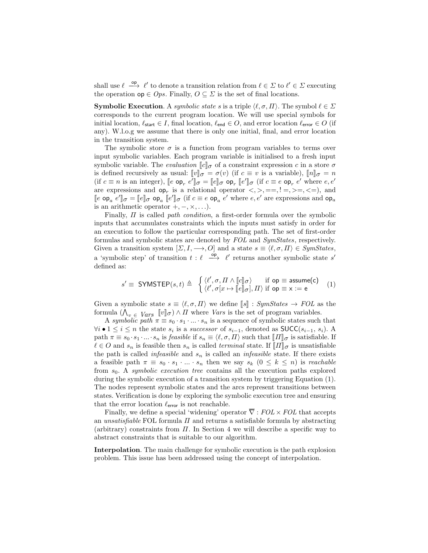shall use  $\ell \stackrel{\text{op}}{\longrightarrow} \ell'$  to denote a transition relation from  $\ell \in \Sigma$  to  $\ell' \in \Sigma$  executing the operation  $op \in Ops$ . Finally,  $O \subseteq \Sigma$  is the set of final locations.

**Symbolic Execution.** A symbolic state s is a triple  $\langle \ell, \sigma, \Pi \rangle$ . The symbol  $\ell \in \Sigma$ corresponds to the current program location. We will use special symbols for initial location,  $\ell_{\text{start}} \in I$ , final location,  $\ell_{\text{end}} \in O$ , and error location  $\ell_{\text{error}} \in O$  (if any). W.l.o.g we assume that there is only one initial, final, and error location in the transition system.

The symbolic store  $\sigma$  is a function from program variables to terms over input symbolic variables. Each program variable is initialised to a fresh input symbolic variable. The *evaluation*  $\llbracket c \rrbracket_{\sigma}$  of a constraint expression c in a store  $\sigma$ is defined recursively as usual:  $[v]_{\sigma} = \sigma(v)$  (if  $c \equiv v$  is a variable),  $[n]_{\sigma} = n$ (if  $c \equiv n$  is an integer),  $\llbracket e \text{ op}_r e' \rrbracket_{\sigma} = \llbracket e \rrbracket_{\sigma}$  op<sub>r</sub>  $\llbracket e' \rrbracket_{\sigma}$  (if  $c \equiv e \text{ op}_r e'$  where  $e, e'$ are expressions and  $op<sub>r</sub>$  is a relational operator  $\langle , \rangle, =, =, ! =, \rangle =, \langle = \rangle,$  and  $\lbrack e \circ p_a e' \rbrack \sigma = \lbrack e \rbrack \sigma \circ p_a \lbrack e' \rbrack \sigma$  (if  $c \equiv e \circ p_a e'$  where  $e, e'$  are expressions and  $o p_a$ <br>is an arithmetic energies is an arithmetic operator  $+$ ,  $-$ ,  $\times$ , ...).

Finally,  $\Pi$  is called *path condition*, a first-order formula over the symbolic inputs that accumulates constraints which the inputs must satisfy in order for an execution to follow the particular corresponding path. The set of first-order formulas and symbolic states are denoted by FOL and SymStates, respectively. Given a transition system  $[\Sigma, I, \longrightarrow, O]$  and a state  $s \equiv \langle \ell, \sigma, \Pi \rangle \in SymStates$ , a 'symbolic step' of transition  $t : \ell \stackrel{\text{op}}{\longrightarrow} \ell'$  returns another symbolic state s' defined as:

$$
s' \equiv \text{SYMSTEP}(s, t) \triangleq \begin{cases} \langle \ell', \sigma, \Pi \wedge [\![c]\!]_{\sigma} \rangle & \text{if op } \equiv \text{assume}(c) \\ \langle \ell', \sigma[x \mapsto [\![e]\!]_{\sigma}], \Pi \rangle & \text{if op } \equiv x := e \end{cases} \tag{1}
$$

Given a symbolic state  $s \equiv \langle \ell, \sigma, \Pi \rangle$  we define  $\llbracket s \rrbracket : SymStates \rightarrow FOL$  as the formula  $(\bigwedge_{v \in Vars} [v]_{\sigma}) \wedge \Pi$  where *Vars* is the set of program variables.

A symbolic path  $\pi \equiv s_0 \cdot s_1 \cdot ... \cdot s_n$  is a sequence of symbolic states such that  $\forall i \cdot 1 \leq i \leq n$  the state  $s_i$  is a successor of  $s_{i-1}$ , denoted as SUCC( $s_{i-1}, s_i$ ). A path  $\pi \equiv s_0 \cdot s_1 \cdot ... \cdot s_n$  is *feasible* if  $s_n \equiv \langle \ell, \sigma, \Pi \rangle$  such that  $\llbracket \Pi \rrbracket_{\sigma}$  is satisfiable. If  $\ell \in O$  and  $s_n$  is feasible then  $s_n$  is called terminal state. If  $\llbracket \Pi \rrbracket_{\sigma}$  is unsatisfiable the path is called *infeasible* and  $s_n$  is called an *infeasible* state. If there exists a feasible path  $\pi \equiv s_0 \cdot s_1 \cdot \ldots \cdot s_n$  then we say  $s_k$   $(0 \leq k \leq n)$  is reachable from  $s_0$ . A symbolic execution tree contains all the execution paths explored during the symbolic execution of a transition system by triggering Equation (1). The nodes represent symbolic states and the arcs represent transitions between states. Verification is done by exploring the symbolic execution tree and ensuring that the error location  $\ell_{\text{error}}$  is not reachable.

Finally, we define a special 'widening' operator  $\overline{\nabla}$  :  $FOL \times FOL$  that accepts an *unsatisfiable* FOL formula  $\Pi$  and returns a satisfiable formula by abstracting (arbitrary) constraints from  $\Pi$ . In Section 4 we will describe a specific way to abstract constraints that is suitable to our algorithm.

Interpolation. The main challenge for symbolic execution is the path explosion problem. This issue has been addressed using the concept of interpolation.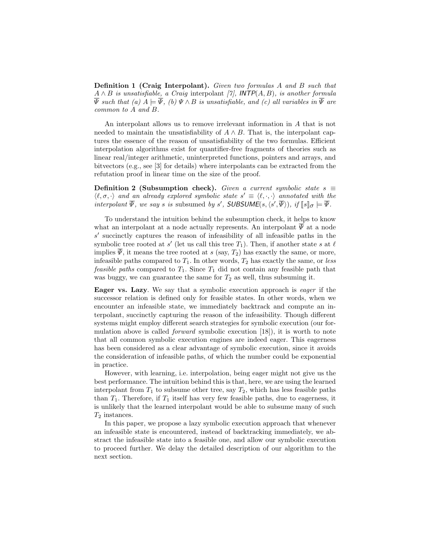Definition 1 (Craig Interpolant). Given two formulas A and B such that  $A \wedge B$  is unsatisfiable, a Craig interpolant [7], **INTP** $(A, B)$ , is another formula  $\overline{\Psi}$  such that (a)  $A \models \overline{\Psi}$ , (b)  $\Psi \wedge B$  is unsatisfiable, and (c) all variables in  $\overline{\Psi}$  are common to A and B.

An interpolant allows us to remove irrelevant information in A that is not needed to maintain the unsatisfiability of  $A \wedge B$ . That is, the interpolant captures the essence of the reason of unsatisfiability of the two formulas. Efficient interpolation algorithms exist for quantifier-free fragments of theories such as linear real/integer arithmetic, uninterpreted functions, pointers and arrays, and bitvectors (e.g., see [3] for details) where interpolants can be extracted from the refutation proof in linear time on the size of the proof.

Definition 2 (Subsumption check). Given a current symbolic state  $s \equiv$  $\langle \ell, \sigma, \cdot \rangle$  and an already explored symbolic state  $s' \equiv \langle \ell, \cdot, \cdot \rangle$  annotated with the interpolant  $\overline{\Psi}$ , we say s is subsumed by s', SUBSUME(s,  $\langle s', \overline{\Psi} \rangle$ ), if  $\llbracket s \rrbracket_{\sigma} \models \overline{\Psi}$ .

To understand the intuition behind the subsumption check, it helps to know what an interpolant at a node actually represents. An interpolant  $\overline{\Psi}$  at a node  $s'$  succinctly captures the reason of infeasibility of all infeasible paths in the symbolic tree rooted at s' (let us call this tree  $T_1$ ). Then, if another state s at  $\ell$ implies  $\overline{\Psi}$ , it means the tree rooted at s (say,  $T_2$ ) has exactly the same, or more, infeasible paths compared to  $T_1$ . In other words,  $T_2$  has exactly the same, or less feasible paths compared to  $T_1$ . Since  $T_1$  did not contain any feasible path that was buggy, we can guarantee the same for  $T_2$  as well, thus subsuming it.

Eager vs. Lazy. We say that a symbolic execution approach is eager if the successor relation is defined only for feasible states. In other words, when we encounter an infeasible state, we immediately backtrack and compute an interpolant, succinctly capturing the reason of the infeasibility. Though different systems might employ different search strategies for symbolic execution (our formulation above is called forward symbolic execution [18]), it is worth to note that all common symbolic execution engines are indeed eager. This eagerness has been considered as a clear advantage of symbolic execution, since it avoids the consideration of infeasible paths, of which the number could be exponential in practice.

However, with learning, i.e. interpolation, being eager might not give us the best performance. The intuition behind this is that, here, we are using the learned interpolant from  $T_1$  to subsume other tree, say  $T_2$ , which has less feasible paths than  $T_1$ . Therefore, if  $T_1$  itself has very few feasible paths, due to eagerness, it is unlikely that the learned interpolant would be able to subsume many of such  $T_2$  instances.

In this paper, we propose a lazy symbolic execution approach that whenever an infeasible state is encountered, instead of backtracking immediately, we abstract the infeasible state into a feasible one, and allow our symbolic execution to proceed further. We delay the detailed description of our algorithm to the next section.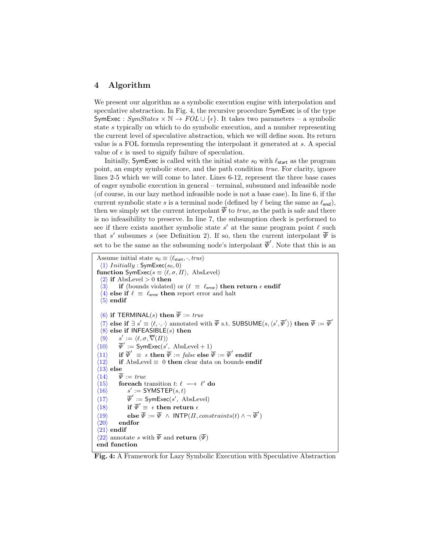## 4 Algorithm

We present our algorithm as a symbolic execution engine with interpolation and speculative abstraction. In Fig. 4, the recursive procedure SymExec is of the type SymExec : SymStates  $\times \mathbb{N}$  → FOL ∪ { $\epsilon$ }. It takes two parameters – a symbolic state s typically on which to do symbolic execution, and a number representing the current level of speculative abstraction, which we will define soon. Its return value is a FOL formula representing the interpolant it generated at s. A special value of  $\epsilon$  is used to signify failure of speculation.

Initially, SymExec is called with the initial state  $s_0$  with  $\ell_{\text{start}}$  as the program point, an empty symbolic store, and the path condition true. For clarity, ignore lines 2-5 which we will come to later. Lines 6-12, represent the three base cases of eager symbolic execution in general – terminal, subsumed and infeasible node (of course, in our lazy method infeasible node is not a base case). In line 6, if the current symbolic state s is a terminal node (defined by  $\ell$  being the same as  $\ell_{\text{end}}$ ), then we simply set the current interpolant  $\overline{\Psi}$  to *true*, as the path is safe and there is no infeasibility to preserve. In line 7, the subsumption check is performed to see if there exists another symbolic state  $s'$  at the same program point  $\ell$  such that s' subsumes s (see Definition 2). If so, then the current interpolant  $\overline{\Psi}$  is set to be the same as the subsuming node's interpolant  $\overline{\Psi}'$ . Note that this is an

```
Assume initial state s_0 \equiv \langle \ell_{\text{start}}, \cdot, \text{true} \rangle\langle 1 \rangle Initially : SymExec(s<sub>0</sub>, 0)
function SymExec(s \equiv \langle \ell, \sigma, \Pi \rangle, AbsLevel)
  \langle 2 \rangle if AbsLevel > 0 then
  \langle 3 \rangle if (bounds violated) or (\ell \equiv \ell_{\text{error}}) then return \epsilon endif
  \langle 4 \rangle else if \ell \equiv \ell_{\text{error}} then report error and halt
  \langle 5 \rangle endif
  \langle 6 \rangle if TERMINAL(s) then \overline{\Psi} := true\langle 7 \rangle else if \exists s' \equiv \langle \ell, \cdot, \cdot \rangle annotated with \overline{\Psi} s.t. SUBSUME(s, \langle s', \overline{\Psi}' \rangle) then \overline{\Psi} := \overline{\Psi}'\langle 8 \rangle else if INFEASIBLE(s) then
  \langle 9 \rangle\mathcal{U} := \langle \ell, \sigma, \overline{\nabla}(\Pi) \rangle\langle 10 \rangle\beta := SymExec(s', AbsLevel + 1)
\overline{\bra{11}} \quad \text{ if } \overline{\Psi}' \equiv \epsilon \text{ then } \overline{\Psi} := \text{false} \text{ else } \overline{\Psi} := \overline{\Psi}' \text{ endif }\langle 12 \rangle if AbsLevel \equiv 0 then clear data on bounds endif
\frac{\langle 13 \rangle}{\langle 14 \rangle} else
               \overline{\Psi} := true\langle 15 \rangle for each transition t: \ell \longrightarrow \ell' do
\langle 16 \rangle' := SYMSTEP(s, t)\langle 17 \rangle\mathcal{C}' := \mathsf{SymExec}(s', \ \overline{\mathsf{AssLevel}})(18) if \overline{\Psi}' \equiv \epsilon then return \epsilon\overline{\Psi} := \overline{\Psi} \wedge \text{INTP}(H, constraints(t) \wedge \neg \overline{\Psi}')\langle 20 \rangle endfor
\langle 21 \rangle endif
\langle 22 \rangle annotate s with \overline{\Psi} and return (\overline{\Psi})end function
```
Fig. 4: A Framework for Lazy Symbolic Execution with Speculative Abstraction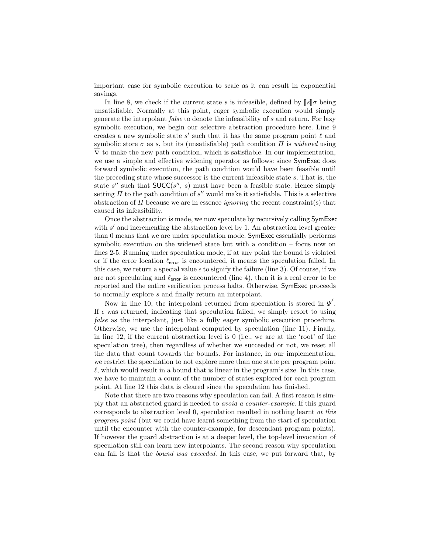important case for symbolic execution to scale as it can result in exponential savings.

In line 8, we check if the current state s is infeasible, defined by  $\llbracket s \rrbracket \sigma$  being unsatisfiable. Normally at this point, eager symbolic execution would simply generate the interpolant false to denote the infeasibility of s and return. For lazy symbolic execution, we begin our selective abstraction procedure here. Line 9 creates a new symbolic state  $s'$  such that it has the same program point  $\ell$  and symbolic store  $\sigma$  as s, but its (unsatisfiable) path condition  $\Pi$  is widened using  $\overline{\nabla}$  to make the new path condition, which is satisfiable. In our implementation, we use a simple and effective widening operator as follows: since SymExec does forward symbolic execution, the path condition would have been feasible until the preceding state whose successor is the current infeasible state s. That is, the state s'' such that  $\mathsf{Succ}(s'', s)$  must have been a feasible state. Hence simply setting  $\Pi$  to the path condition of  $s''$  would make it satisfiable. This is a selective abstraction of  $\Pi$  because we are in essence *ignoring* the recent constraint(s) that caused its infeasibility.

Once the abstraction is made, we now speculate by recursively calling SymExec with  $s'$  and incrementing the abstraction level by 1. An abstraction level greater than 0 means that we are under speculation mode. SymExec essentially performs symbolic execution on the widened state but with a condition – focus now on lines 2-5. Running under speculation mode, if at any point the bound is violated or if the error location  $\ell_{\text{error}}$  is encountered, it means the speculation failed. In this case, we return a special value  $\epsilon$  to signify the failure (line 3). Of course, if we are not speculating and  $\ell_{\text{error}}$  is encountered (line 4), then it is a real error to be reported and the entire verification process halts. Otherwise, SymExec proceeds to normally explore s and finally return an interpolant.

Now in line 10, the interpolant returned from speculation is stored in  $\overline{\Psi}'$ . If  $\epsilon$  was returned, indicating that speculation failed, we simply resort to using false as the interpolant, just like a fully eager symbolic execution procedure. Otherwise, we use the interpolant computed by speculation (line 11). Finally, in line 12, if the current abstraction level is 0 (i.e., we are at the 'root' of the speculation tree), then regardless of whether we succeeded or not, we reset all the data that count towards the bounds. For instance, in our implementation, we restrict the speculation to not explore more than one state per program point  $\ell$ , which would result in a bound that is linear in the program's size. In this case, we have to maintain a count of the number of states explored for each program point. At line 12 this data is cleared since the speculation has finished.

Note that there are two reasons why speculation can fail. A first reason is simply that an abstracted guard is needed to avoid a counter-example. If this guard corresponds to abstraction level 0, speculation resulted in nothing learnt at this program point (but we could have learnt something from the start of speculation until the encounter with the counter-example, for descendant program points). If however the guard abstraction is at a deeper level, the top-level invocation of speculation still can learn new interpolants. The second reason why speculation can fail is that the bound was exceeded. In this case, we put forward that, by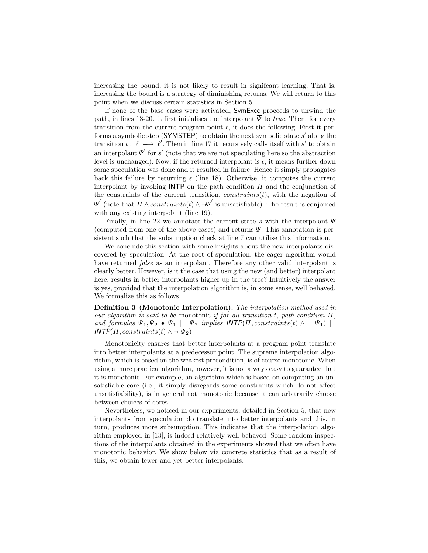increasing the bound, it is not likely to result in signifcant learning. That is, increasing the bound is a strategy of diminishing returns. We will return to this point when we discuss certain statistics in Section 5.

If none of the base cases were activated, SymExec proceeds to unwind the path, in lines 13-20. It first initialises the interpolant  $\overline{\Psi}$  to *true*. Then, for every transition from the current program point  $\ell$ , it does the following. First it performs a symbolic step (SYMSTEP) to obtain the next symbolic state  $s'$  along the transition  $t: \ell \longrightarrow \ell'$ . Then in line 17 it recursively calls itself with s' to obtain an interpolant  $\overline{\Psi}'$  for s' (note that we are not speculating here so the abstraction level is unchanged). Now, if the returned interpolant is  $\epsilon$ , it means further down some speculation was done and it resulted in failure. Hence it simply propagates back this failure by returning  $\epsilon$  (line 18). Otherwise, it computes the current interpolant by invoking INTP on the path condition  $\Pi$  and the conjunction of the constraints of the current transition,  $constraints(t)$ , with the negation of  $\overline{\Psi}'$  (note that  $\Pi \wedge constraints(t) \wedge \overline{\Psi}'$  is unsatisfiable). The result is conjoined with any existing interpolant (line 19).

Finally, in line 22 we annotate the current state s with the interpolant  $\overline{\Psi}$ (computed from one of the above cases) and returns  $\overline{\Psi}$ . This annotation is persistent such that the subsumption check at line 7 can utilise this information.

We conclude this section with some insights about the new interpolants discovered by speculation. At the root of speculation, the eager algorithm would have returned *false* as an interpolant. Therefore any other valid interpolant is clearly better. However, is it the case that using the new (and better) interpolant here, results in better interpolants higher up in the tree? Intuitively the answer is yes, provided that the interpolation algorithm is, in some sense, well behaved. We formalize this as follows.

Definition 3 (Monotonic Interpolation). The interpolation method used in our algorithm is said to be monotonic if for all transition t, path condition  $\Pi$ , and formulas  $\Psi_1, \Psi_2 \bullet \Psi_1 \models \Psi_2$  implies INTP( $\Pi$ , constraints(t)  $\wedge \neg \Psi_1$ )  $\models$  $INTP(\Pi, constraints(t) \wedge \neg \overline{\Psi}_2)$ 

Monotonicity ensures that better interpolants at a program point translate into better interpolants at a predecessor point. The supreme interpolation algorithm, which is based on the weakest precondition, is of course monotonic. When using a more practical algorithm, however, it is not always easy to guarantee that it is monotonic. For example, an algorithm which is based on computing an unsatisfiable core (i.e., it simply disregards some constraints which do not affect unsatisfiability), is in general not monotonic because it can arbitrarily choose between choices of cores.

Nevertheless, we noticed in our experiments, detailed in Section 5, that new interpolants from speculation do translate into better interpolants and this, in turn, produces more subsumption. This indicates that the interpolation algorithm employed in [13], is indeed relatively well behaved. Some random inspections of the interpolants obtained in the experiments showed that we often have monotonic behavior. We show below via concrete statistics that as a result of this, we obtain fewer and yet better interpolants.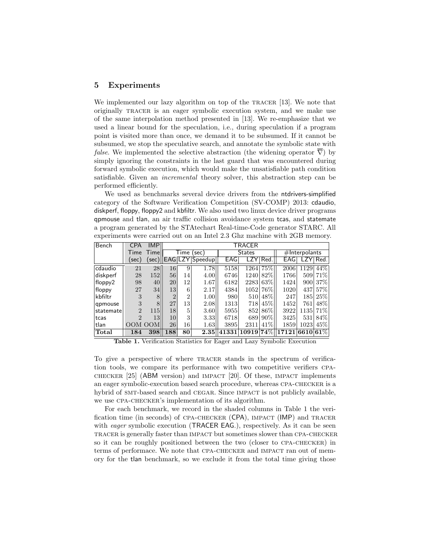### 5 Experiments

We implemented our lazy algorithm on top of the TRACER [13]. We note that originally tracer is an eager symbolic execution system, and we make use of the same interpolation method presented in [13]. We re-emphasize that we used a linear bound for the speculation, i.e., during speculation if a program point is visited more than once, we demand it to be subsumed. If it cannot be subsumed, we stop the speculative search, and annotate the symbolic state with *false.* We implemented the selective abstraction (the widening operator  $\nabla$ ) by simply ignoring the constraints in the last guard that was encountered during forward symbolic execution, which would make the unsatisfiable path condition satisfiable. Given an incremental theory solver, this abstraction step can be performed efficiently.

We used as benchmarks several device drivers from the ntdrivers-simplified category of the Software Verification Competition (SV-COMP) 2013: cdaudio, diskperf, floppy, floppy2 and kbfiltr. We also used two linux device driver programs qpmouse and tlan, an air traffic collision avoidance system tcas, and statemate a program generated by the STAtechart Real-time-Code generator STARC. All experiments were carried out on an Intel 2.3 Ghz machine with 2GB memory.

| Bench     | <b>CPA</b>     | IMPI  | TRACER         |                |                        |      |      |                  |                                      |            |        |
|-----------|----------------|-------|----------------|----------------|------------------------|------|------|------------------|--------------------------------------|------------|--------|
|           | Time           | Timel | Time (sec)     |                | <b>States</b>          |      |      | $#$ Interpolants |                                      |            |        |
|           | sec)           |       |                |                | [sec)  EAG LZY Speedup | EAG  |      | LZY Red.         | <b>EAG</b>                           | LZYI       | Red.   |
| cdaudio   | 21             | 28    | 16             | 9              | 1.78                   | 5158 |      | $1264$ 75%       | 2006                                 | 1129       | 44%    |
| diskperf  | 28             | 152   | 56             | 14             | 4.00                   | 6746 | 1240 | 82\%             | 1766                                 | 509        | 71%    |
| floppy2   | 98             | 40    | 20             | 12             | 1.67                   | 6182 | 2283 | 63%              | 1424                                 | 900        | 37%    |
| floppy    | 27             | 34    | 13             | 6              | 2.17                   | 4384 |      | 1052 76%         | 1020                                 | 437        | $57\%$ |
| kbfiltr   | 3              | 8     | $\overline{2}$ | $\overline{2}$ | 1.00                   | 980  | 510  | $48\%$           | 247                                  | <b>185</b> | 25%    |
| gpmouse   | 3              | 8     | 27             | 13             | 2.08                   | 1313 | 718  | 45%              | 1452                                 | 761        | $48\%$ |
| statemate | $\overline{2}$ | 115   | 18             | 5              | 3.60 <sub>1</sub>      | 5955 | 852  | $86\%$           | 3922                                 | 1135       | 71%    |
| ltcas     |                | 13    | 10             | 3              | 3.33                   | 6718 | 689  | $90\%$           | 3425                                 | 531        | 84\%   |
| ltlan     | <b>OOM</b>     | OOM   | 26             | 16             | 1.63                   | 3895 | 2311 | $41\%$           | 1859                                 | 1023       | 45%    |
| Total     | 184            | 398   | 188            | 80             | 2.35                   |      |      |                  | $41331 10919 74\%  17121 6610 61\% $ |            |        |

Table 1. Verification Statistics for Eager and Lazy Symbolic Execution

To give a perspective of where tracer stands in the spectrum of verification tools, we compare its performance with two competitive verifiers cpachecker [25] (ABM version) and impact [20]. Of these, impact implements an eager symbolic-execution based search procedure, whereas CPA-CHECKER is a hybrid of SMT-based search and CEGAR. Since IMPACT is not publicly available, we use cpa-checker's implementation of its algorithm.

For each benchmark, we record in the shaded columns in Table 1 the verification time (in seconds) of CPA-CHECKER (CPA), IMPACT (IMP) and TRACER with *eager* symbolic execution (TRACER EAG.), respectively. As it can be seen tracer is generally faster than impact but sometimes slower than cpa-checker so it can be roughly positioned between the two (closer to cpa-checker) in terms of performace. We note that cpa-checker and impact ran out of memory for the tlan benchmark, so we exclude it from the total time giving those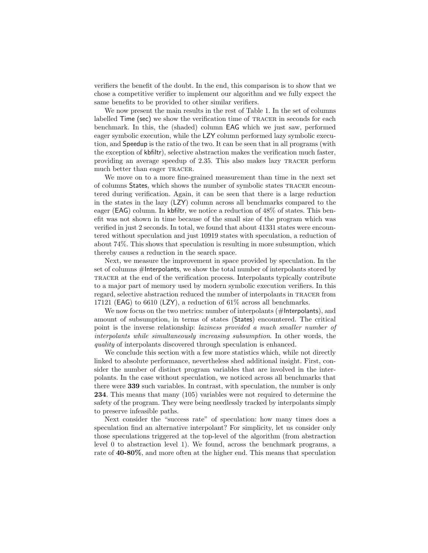verifiers the benefit of the doubt. In the end, this comparison is to show that we chose a competitive verifier to implement our algorithm and we fully expect the same benefits to be provided to other similar verifiers.

We now present the main results in the rest of Table 1. In the set of columns labelled Time (sec) we show the verification time of TRACER in seconds for each benchmark. In this, the (shaded) column EAG which we just saw, performed eager symbolic execution, while the LZY column performed lazy symbolic execution, and Speedup is the ratio of the two. It can be seen that in all programs (with the exception of kbfiltr), selective abstraction makes the verification much faster, providing an average speedup of 2.35. This also makes lazy tracer perform much better than eager TRACER.

We move on to a more fine-grained measurement than time in the next set of columns States, which shows the number of symbolic states tracer encountered during verification. Again, it can be seen that there is a large reduction in the states in the lazy (LZY) column across all benchmarks compared to the eager (EAG) column. In kbfiltr, we notice a reduction of 48% of states. This benefit was not shown in time because of the small size of the program which was verified in just 2 seconds. In total, we found that about 41331 states were encountered without speculation and just 10919 states with speculation, a reduction of about 74%. This shows that speculation is resulting in more subsumption, which thereby causes a reduction in the search space.

Next, we measure the improvement in space provided by speculation. In the set of columns #Interpolants, we show the total number of interpolants stored by tracer at the end of the verification process. Interpolants typically contribute to a major part of memory used by modern symbolic execution verifiers. In this regard, selective abstraction reduced the number of interpolants in TRACER from 17121 (EAG) to 6610 (LZY), a reduction of 61% across all benchmarks.

We now focus on the two metrics: number of interpolants (#Interpolants), and amount of subsumption, in terms of states (States) encountered. The critical point is the inverse relationship: laziness provided a much smaller number of interpolants while simultaneously increasing subsumption. In other words, the quality of interpolants discovered through speculation is enhanced.

We conclude this section with a few more statistics which, while not directly linked to absolute performance, nevertheless shed additional insight. First, consider the number of distinct program variables that are involved in the interpolants. In the case without speculation, we noticed across all benchmarks that there were 339 such variables. In contrast, with speculation, the number is only 234. This means that many (105) variables were not required to determine the safety of the program. They were being needlessly tracked by interpolants simply to preserve infeasible paths.

Next consider the "success rate" of speculation: how many times does a speculation find an alternative interpolant? For simplicity, let us consider only those speculations triggered at the top-level of the algorithm (from abstraction level 0 to abstraction level 1). We found, across the benchmark programs, a rate of 40-80%, and more often at the higher end. This means that speculation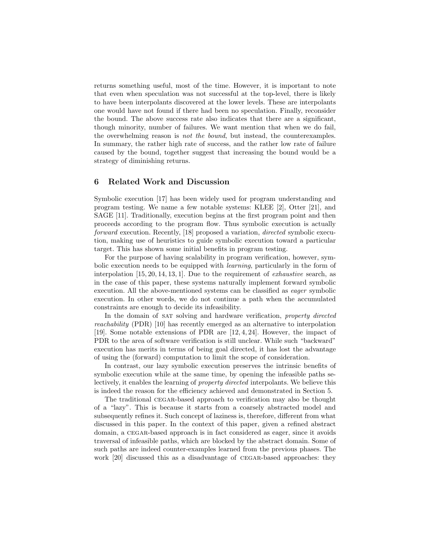returns something useful, most of the time. However, it is important to note that even when speculation was not successful at the top-level, there is likely to have been interpolants discovered at the lower levels. These are interpolants one would have not found if there had been no speculation. Finally, reconsider the bound. The above success rate also indicates that there are a significant, though minority, number of failures. We want mention that when we do fail, the overwhelming reason is not the bound, but instead, the counterexamples. In summary, the rather high rate of success, and the rather low rate of failure caused by the bound, together suggest that increasing the bound would be a strategy of diminishing returns.

### 6 Related Work and Discussion

Symbolic execution [17] has been widely used for program understanding and program testing. We name a few notable systems: KLEE [2], Otter [21], and SAGE [11]. Traditionally, execution begins at the first program point and then proceeds according to the program flow. Thus symbolic execution is actually forward execution. Recently, [18] proposed a variation, directed symbolic execution, making use of heuristics to guide symbolic execution toward a particular target. This has shown some initial benefits in program testing.

For the purpose of having scalability in program verification, however, symbolic execution needs to be equipped with learning, particularly in the form of interpolation  $[15, 20, 14, 13, 1]$ . Due to the requirement of *exhaustive* search, as in the case of this paper, these systems naturally implement forward symbolic execution. All the above-mentioned systems can be classified as eager symbolic execution. In other words, we do not continue a path when the accumulated constraints are enough to decide its infeasibility.

In the domain of SAT solving and hardware verification, *property directed* reachability (PDR) [10] has recently emerged as an alternative to interpolation [19]. Some notable extensions of PDR are [12, 4, 24]. However, the impact of PDR to the area of software verification is still unclear. While such "backward" execution has merits in terms of being goal directed, it has lost the advantage of using the (forward) computation to limit the scope of consideration.

In contrast, our lazy symbolic execution preserves the intrinsic benefits of symbolic execution while at the same time, by opening the infeasible paths selectively, it enables the learning of property directed interpolants. We believe this is indeed the reason for the efficiency achieved and demonstrated in Section 5.

The traditional cegar-based approach to verification may also be thought of a "lazy". This is because it starts from a coarsely abstracted model and subsequently refines it. Such concept of laziness is, therefore, different from what discussed in this paper. In the context of this paper, given a refined abstract domain, a cegar-based approach is in fact considered as eager, since it avoids traversal of infeasible paths, which are blocked by the abstract domain. Some of such paths are indeed counter-examples learned from the previous phases. The work [20] discussed this as a disadvantage of CEGAR-based approaches: they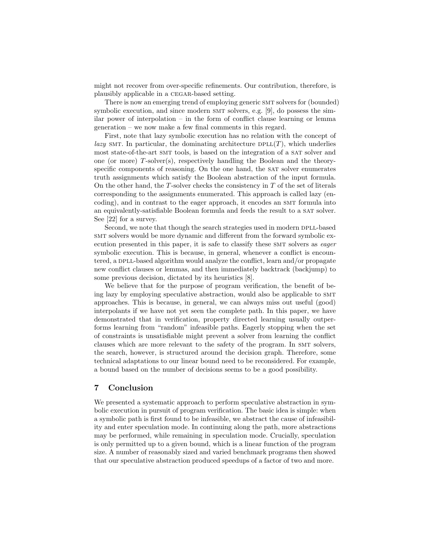might not recover from over-specific refinements. Our contribution, therefore, is plausibly applicable in a cegar-based setting.

There is now an emerging trend of employing generic smt solvers for (bounded) symbolic execution, and since modern SMT solvers, e.g. [9], do possess the similar power of interpolation – in the form of conflict clause learning or lemma generation – we now make a few final comments in this regard.

First, note that lazy symbolic execution has no relation with the concept of lazy SMT. In particular, the dominating architecture  $DPL(T)$ , which underlies most state-of-the-art SMT tools, is based on the integration of a SAT solver and one (or more) T-solver(s), respectively handling the Boolean and the theoryspecific components of reasoning. On the one hand, the SAT solver enumerates truth assignments which satisfy the Boolean abstraction of the input formula. On the other hand, the T-solver checks the consistency in  $T$  of the set of literals corresponding to the assignments enumerated. This approach is called lazy (encoding), and in contrast to the eager approach, it encodes an smt formula into an equivalently-satisfiable Boolean formula and feeds the result to a SAT solver. See [22] for a survey.

Second, we note that though the search strategies used in modern DPLL-based smt solvers would be more dynamic and different from the forward symbolic execution presented in this paper, it is safe to classify these SMT solvers as *eager* symbolic execution. This is because, in general, whenever a conflict is encountered, a DPLL-based algorithm would analyze the conflict, learn and/or propagate new conflict clauses or lemmas, and then immediately backtrack (backjump) to some previous decision, dictated by its heuristics [8].

We believe that for the purpose of program verification, the benefit of being lazy by employing speculative abstraction, would also be applicable to smt approaches. This is because, in general, we can always miss out useful (good) interpolants if we have not yet seen the complete path. In this paper, we have demonstrated that in verification, property directed learning usually outperforms learning from "random" infeasible paths. Eagerly stopping when the set of constraints is unsatisfiable might prevent a solver from learning the conflict clauses which are more relevant to the safety of the program. In SMT solvers, the search, however, is structured around the decision graph. Therefore, some technical adaptations to our linear bound need to be reconsidered. For example, a bound based on the number of decisions seems to be a good possibility.

## 7 Conclusion

We presented a systematic approach to perform speculative abstraction in symbolic execution in pursuit of program verification. The basic idea is simple: when a symbolic path is first found to be infeasible, we abstract the cause of infeasibility and enter speculation mode. In continuing along the path, more abstractions may be performed, while remaining in speculation mode. Crucially, speculation is only permitted up to a given bound, which is a linear function of the program size. A number of reasonably sized and varied benchmark programs then showed that our speculative abstraction produced speedups of a factor of two and more.